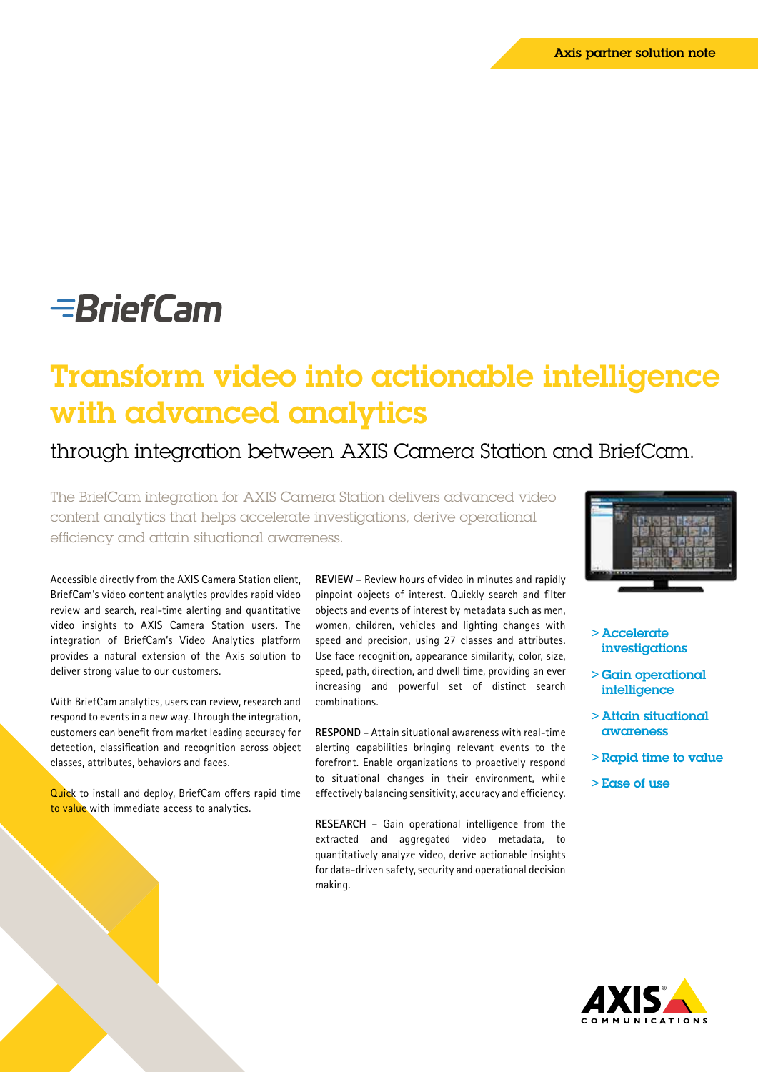# **EBriefCam**

## Transform video into actionable intelligence with advanced analytics

### through integration between AXIS Camera Station and BriefCam.

The BriefCam integration for AXIS Camera Station delivers advanced video content analytics that helps accelerate investigations, derive operational efficiency and attain situational awareness.

Accessible directly from the AXIS Camera Station client, BriefCam's video content analytics provides rapid video review and search, real-time alerting and quantitative video insights to AXIS Camera Station users. The integration of BriefCam's Video Analytics platform provides a natural extension of the Axis solution to deliver strong value to our customers.

With BriefCam analytics, users can review, research and respond to events in a new way. Through the integration, customers can benefit from market leading accuracy for detection, classification and recognition across object classes, attributes, behaviors and faces.

**Quick** to install and deploy, BriefCam offers rapid time to value with immediate access to analytics.

**REVIEW** – Review hours of video in minutes and rapidly pinpoint objects of interest. Quickly search and filter objects and events of interest by metadata such as men, women, children, vehicles and lighting changes with speed and precision, using 27 classes and attributes. Use face recognition, appearance similarity, color, size, speed, path, direction, and dwell time, providing an ever increasing and powerful set of distinct search combinations.

**RESPOND** – Attain situational awareness with real-time alerting capabilities bringing relevant events to the forefront. Enable organizations to proactively respond to situational changes in their environment, while effectively balancing sensitivity, accuracy and efficiency.

**RESEARCH** – Gain operational intelligence from the extracted and aggregated video metadata, to quantitatively analyze video, derive actionable insights for data-driven safety, security and operational decision making.



- > Accelerate investigations
- > Gain operational intelligence
- > Attain situational awareness
- > Rapid time to value
- > Ease of use